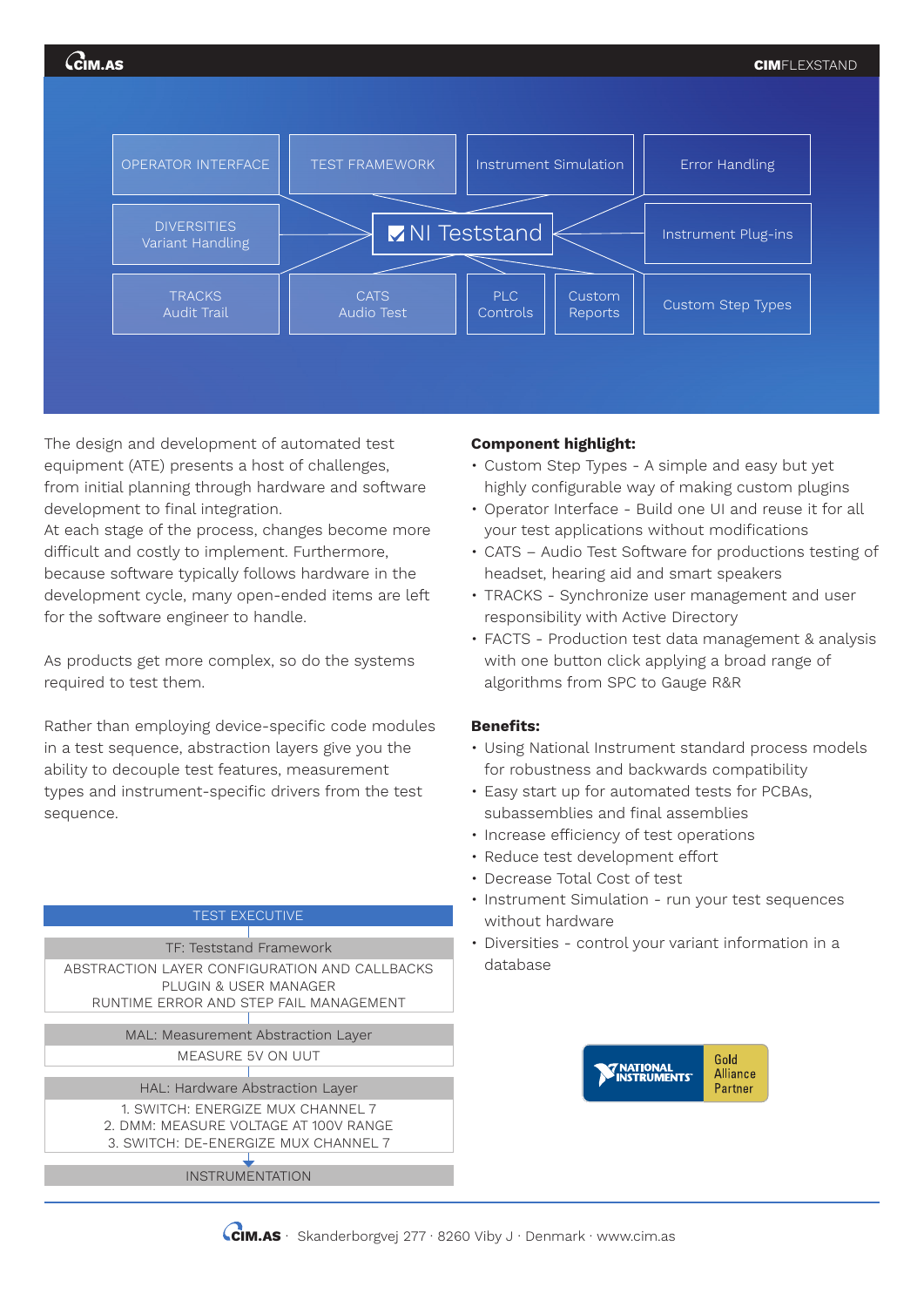

The design and development of automated test equipment (ATE) presents a host of challenges, from initial planning through hardware and software development to final integration.

At each stage of the process, changes become more difficult and costly to implement. Furthermore, because software typically follows hardware in the development cycle, many open-ended items are left for the software engineer to handle.

As products get more complex, so do the systems required to test them.

Rather than employing device-specific code modules in a test sequence, abstraction layers give you the ability to decouple test features, measurement types and instrument-specific drivers from the test sequence.

## TEST EXECUTIVE

TF: Teststand Framework ABSTRACTION LAYER CONFIGURATION AND CALLBACKS PLUGIN & USER MANAGER RUNTIME ERROR AND STEP FAIL MANAGEMENT

> MAL: Measurement Abstraction Layer MEASURE 5V ON UUT

HAL: Hardware Abstraction Layer

1. SWITCH: ENERGIZE MUX CHANNEL 7 2. DMM: MEASURE VOLTAGE AT 100V RANGE

## 3. SWITCH: DE-ENERGIZE MUX CHANNEL 7

INSTRUMENTATION

## **Component highlight:**

- Custom Step Types A simple and easy but yet highly configurable way of making custom plugins
- Operator Interface Build one UI and reuse it for all your test applications without modifications
- CATS Audio Test Software for productions testing of headset, hearing aid and smart speakers
- TRACKS Synchronize user management and user responsibility with Active Directory
- FACTS Production test data management & analysis with one button click applying a broad range of algorithms from SPC to Gauge R&R

## **Benefits:**

- Using National Instrument standard process models for robustness and backwards compatibility
- Easy start up for automated tests for PCBAs, subassemblies and final assemblies
- Increase efficiency of test operations
- Reduce test development effort
- Decrease Total Cost of test
- Instrument Simulation run your test sequences without hardware
- Diversities control your variant information in a database